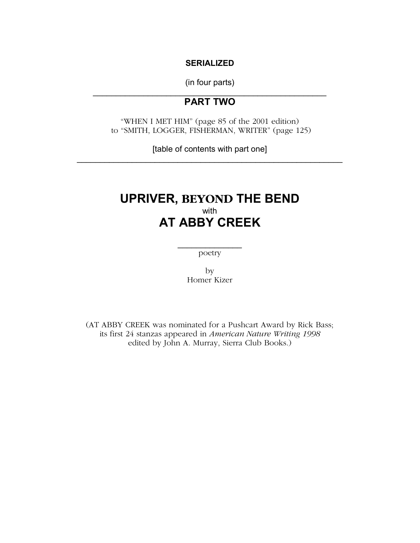#### **SERIALIZED**

(in four parts)  $\mathcal{L}_\text{max}$  and  $\mathcal{L}_\text{max}$  and  $\mathcal{L}_\text{max}$  and  $\mathcal{L}_\text{max}$ 

# **PART TWO**

"WHEN I MET HIM" (page 85 of the 2001 edition) to "SMITH, LOGGER, FISHERMAN, WRITER" (page 125)

[table of contents with part one] \_\_\_\_\_\_\_\_\_\_\_\_\_\_\_\_\_\_\_\_\_\_\_\_\_\_\_\_\_\_\_\_\_\_\_\_\_\_\_\_\_\_\_\_\_\_\_\_\_\_\_\_\_\_\_\_\_\_

# **UPRIVER, BEYOND THE BEND**  with **AT ABBY CREEK**

 $\frac{1}{2}$  , where  $\frac{1}{2}$  , where  $\frac{1}{2}$ poetry

> by Homer Kizer

(AT ABBY CREEK was nominated for a Pushcart Award by Rick Bass; its first 24 stanzas appeared in *American Nature Writing 1998*  edited by John A. Murray, Sierra Club Books.)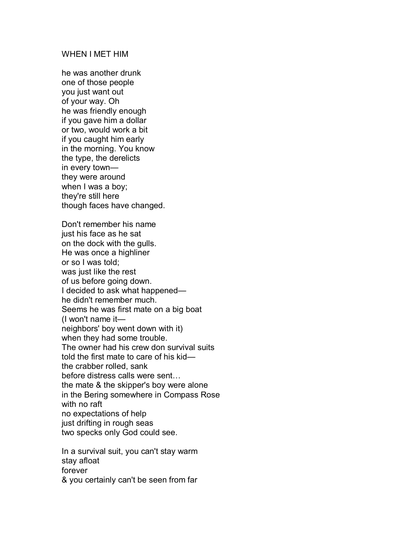#### WHEN I MET HIM

he was another drunk one of those people you just want out of your way. Oh he was friendly enough if you gave him a dollar or two, would work a bit if you caught him early in the morning. You know the type, the derelicts in every townthey were around when I was a boy; they're still here though faces have changed.

Don't remember his name just his face as he sat on the dock with the gulls. He was once a highliner or so I was told; was just like the rest of us before going down. I decided to ask what happened he didn't remember much. Seems he was first mate on a big boat  $(1$  won't name it neighbors' boy went down with it) when they had some trouble. The owner had his crew don survival suits told the first mate to care of his kid the crabber rolled, sank before distress calls were sent... the mate & the skipper's boy were alone in the Bering somewhere in Compass Rose with no raft no expectations of help just drifting in rough seas two specks only God could see.

In a survival suit, you can't stay warm stay afloat forever & you certainly can't be seen from far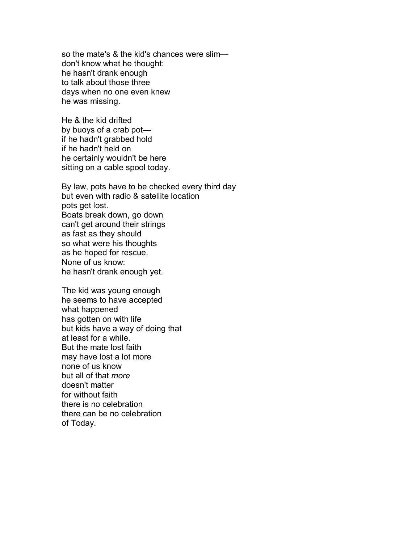so the mate's  $&$  the kid's chances were slimdon't know what he thought: he hasn't drank enough to talk about those three days when no one even knew he was missing.

He & the kid drifted by buoys of a crab potif he hadn't grabbed hold if he hadn't held on he certainly wouldn't be here sitting on a cable spool today.

By law, pots have to be checked every third day but even with radio & satellite location pots get lost. Boats break down, go down can't get around their strings as fast as they should so what were his thoughts as he hoped for rescue. None of us know: he hasn't drank enough yet.

The kid was young enough he seems to have accepted what happened has gotten on with life but kids have a way of doing that at least for a while. But the mate lost faith may have lost a lot more none of us know but all of that *more*  doesn't matter for without faith there is no celebration there can be no celebration of Today.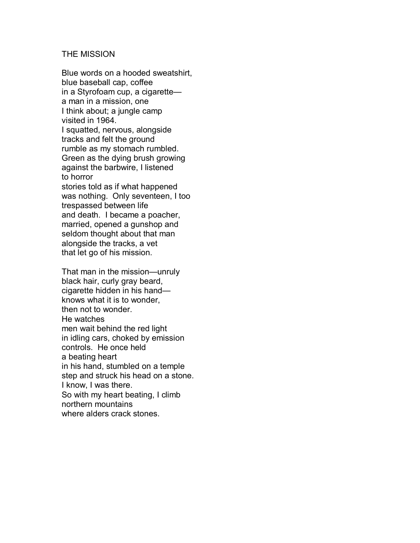#### THE MISSION

Blue words on a hooded sweatshirt, blue baseball cap, coffee in a Styrofoam cup, a cigarette $$ a man in a mission, one I think about; a jungle camp visited in 1964. I squatted, nervous, alongside tracks and felt the ground rumble as my stomach rumbled. Green as the dying brush growing against the barbwire, I listened to horror stories told as if what happened was nothing. Only seventeen, I too trespassed between life and death. I became a poacher, married, opened a gunshop and seldom thought about that man alongside the tracks, a vet that let go of his mission.

That man in the mission—unruly black hair, curly gray beard, cigarette hidden in his handknows what it is to wonder, then not to wonder. He watches men wait behind the red light in idling cars, choked by emission controls. He once held a beating heart in his hand, stumbled on a temple step and struck his head on a stone. I know, I was there. So with my heart beating, I climb northern mountains where alders crack stones.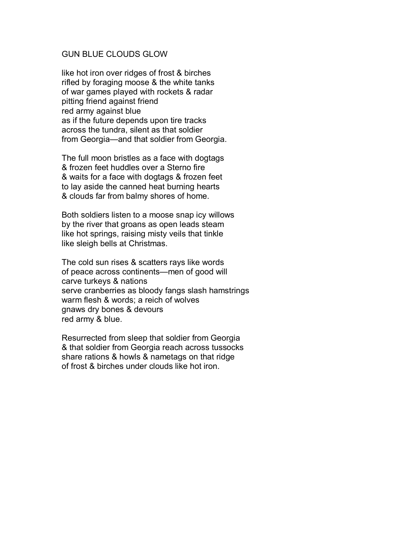#### GUN BLUE CLOUDS GLOW

like hot iron over ridges of frost & birches rifled by foraging moose & the white tanks of war games played with rockets & radar pitting friend against friend red army against blue as if the future depends upon tire tracks across the tundra, silent as that soldier from Georgia-and that soldier from Georgia.

The full moon bristles as a face with dogtags & frozen feet huddles over a Sterno fire & waits for a face with dogtags & frozen feet to lay aside the canned heat burning hearts & clouds far from balmy shores of home.

Both soldiers listen to a moose snap icy willows by the river that groans as open leads steam like hot springs, raising misty veils that tinkle like sleigh bells at Christmas.

The cold sun rises & scatters rays like words of peace across continents—men of good will carve turkeys & nations serve cranberries as bloody fangs slash hamstrings warm flesh & words; a reich of wolves gnaws dry bones & devours red army & blue.

Resurrected from sleep that soldier from Georgia & that soldier from Georgia reach across tussocks share rations & howls & nametags on that ridge of frost & birches under clouds like hot iron.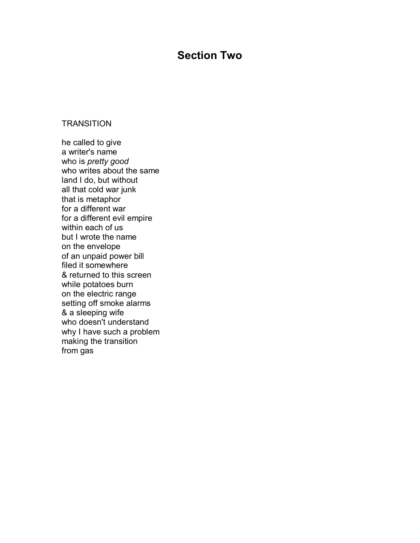# **Section Two**

#### **TRANSITION**

he called to give a writer's name who is *pretty good*  who writes about the same land I do, but without all that cold war junk that is metaphor for a different war for a different evil empire within each of us but I wrote the name on the envelope of an unpaid power bill filed it somewhere & returned to this screen while potatoes burn on the electric range setting off smoke alarms & a sleeping wife who doesn't understand why I have such a problem making the transition from gas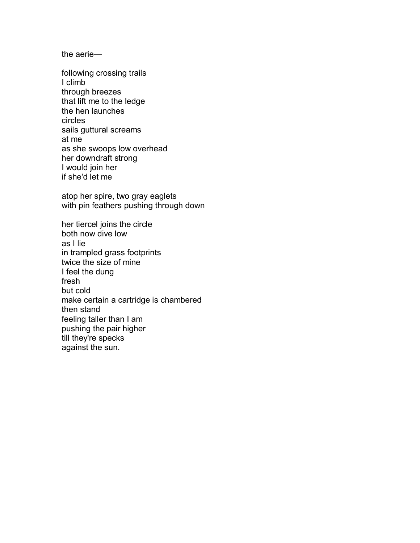the aerie $-$ 

following crossing trails I climb through breezes that lift me to the ledge the hen launches circles sails guttural screams at me as she swoops low overhead her downdraft strong I would join her if she'd let me

atop her spire, two gray eaglets with pin feathers pushing through down

her tiercel joins the circle both now dive low as I lie in trampled grass footprints twice the size of mine I feel the dung fresh but cold make certain a cartridge is chambered then stand feeling taller than I am pushing the pair higher till they're specks against the sun.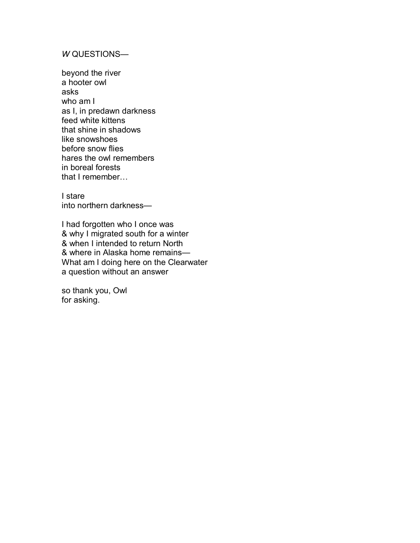## *W* QUESTIONS-

beyond the river a hooter owl asks who am I as I, in predawn darkness feed white kittens that shine in shadows like snowshoes before snow flies hares the owl remembers in boreal forests that  $I$  remember...

I stare into northern darkness-

I had forgotten who I once was & why I migrated south for a winter & when I intended to return North & where in Alaska home remains-What am I doing here on the Clearwater a question without an answer

so thank you, Owl for asking.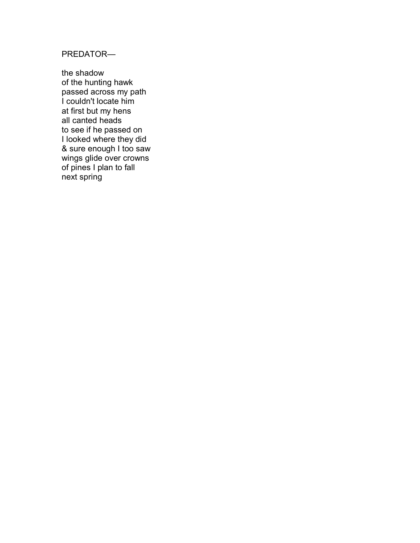PREDATOR-

the shadow of the hunting hawk passed across my path I couldn't locate him at first but my hens all canted heads to see if he passed on I looked where they did & sure enough I too saw wings glide over crowns of pines I plan to fall next spring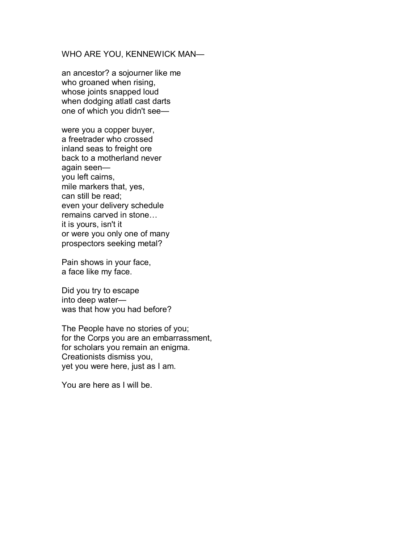#### WHO ARE YOU, KENNEWICK MAN-

an ancestor? a sojourner like me who groaned when rising, whose joints snapped loud when dodging atlatl cast darts one of which you didn't see—

were you a copper buyer, a freetrader who crossed inland seas to freight ore back to a motherland never again seenyou left cairns, mile markers that, yes, can still be read; even your delivery schedule remains carved in stone... it is yours, isn't it or were you only one of many prospectors seeking metal?

Pain shows in your face, a face like my face.

Did you try to escape into deep waterwas that how you had before?

The People have no stories of you; for the Corps you are an embarrassment, for scholars you remain an enigma. Creationists dismiss you, yet you were here, just as I am.

You are here as I will be.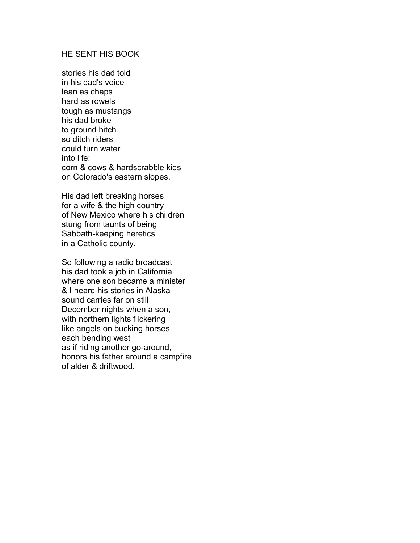## HE SENT HIS BOOK

stories his dad told in his dad's voice lean as chaps hard as rowels tough as mustangs his dad broke to ground hitch so ditch riders could turn water into life: corn & cows & hardscrabble kids on Colorado's eastern slopes.

His dad left breaking horses for a wife & the high country of New Mexico where his children stung from taunts of being Sabbath-keeping heretics in a Catholic county.

So following a radio broadcast his dad took a job in California where one son became a minister & I heard his stories in Alaska sound carries far on still December nights when a son, with northern lights flickering like angels on bucking horses each bending west as if riding another go-around, honors his father around a campfire of alder & driftwood.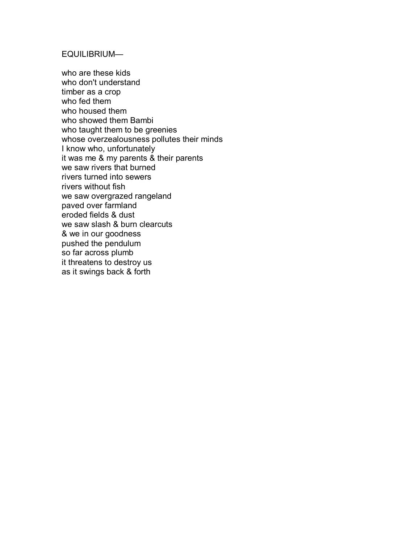## EQUILIBRIUM-

who are these kids who don't understand timber as a crop who fed them who housed them who showed them Bambi who taught them to be greenies whose overzealousness pollutes their minds I know who, unfortunately it was me & my parents & their parents we saw rivers that burned rivers turned into sewers rivers without fish we saw overgrazed rangeland paved over farmland eroded fields & dust we saw slash & burn clearcuts & we in our goodness pushed the pendulum so far across plumb it threatens to destroy us as it swings back & forth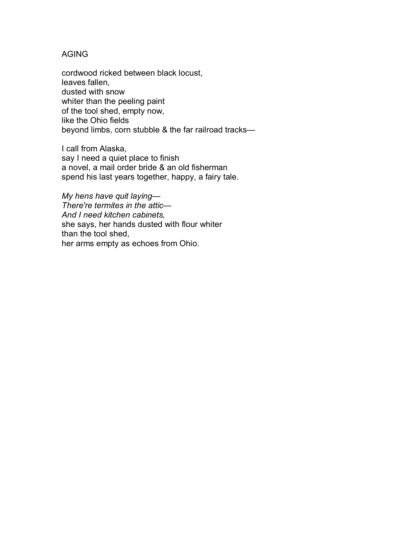## AGING

cordwood ricked between black locust, leaves fallen, dusted with snow whiter than the peeling paint of the tool shed, empty now, like the Ohio fields beyond limbs, corn stubble & the far railroad tracks-

I call from Alaska, say I need a quiet place to finish a novel, a mail order bride & an old fisherman spend his last years together, happy, a fairy tale.

*My hens have quit laying—* **There're termites in the attic—** *And I need kitchen cabinets,*  she says, her hands dusted with flour whiter than the tool shed, her arms empty as echoes from Ohio.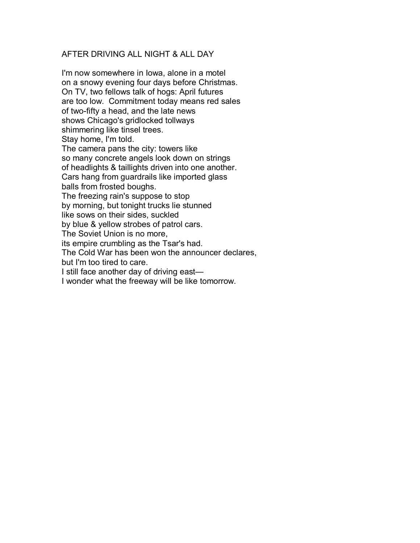## AFTER DRIVING ALL NIGHT & ALL DAY

I'm now somewhere in Iowa, alone in a motel on a snowy evening four days before Christmas. On TV, two fellows talk of hogs: April futures are too low. Commitment today means red sales of two-fifty a head, and the late news shows Chicago's gridlocked tollways shimmering like tinsel trees. Stay home, I'm told. The camera pans the city: towers like so many concrete angels look down on strings of headlights & taillights driven into one another. Cars hang from guardrails like imported glass balls from frosted boughs. The freezing rain's suppose to stop by morning, but tonight trucks lie stunned like sows on their sides, suckled by blue & yellow strobes of patrol cars. The Soviet Union is no more, its empire crumbling as the Tsar's had. The Cold War has been won the announcer declares, but I'm too tired to care. I still face another day of driving east-I wonder what the freeway will be like tomorrow.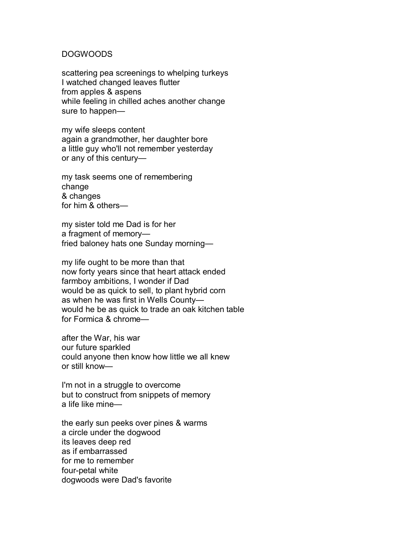#### DOGWOODS

scattering pea screenings to whelping turkeys I watched changed leaves flutter from apples & aspens while feeling in chilled aches another change sure to happen—

my wife sleeps content again a grandmother, her daughter bore a little guy who'll not remember yesterday or any of this century-

my task seems one of remembering change & changes for him  $&$  others—

my sister told me Dad is for her a fragment of memory fried baloney hats one Sunday morning-

my life ought to be more than that now forty years since that heart attack ended farmboy ambitions, I wonder if Dad would be as quick to sell, to plant hybrid corn as when he was first in Wells Countywould he be as quick to trade an oak kitchen table for Formica  $&$  chrome $-$ 

after the War, his war our future sparkled could anyone then know how little we all knew or still know-

I'm not in a struggle to overcome but to construct from snippets of memory a life like mine $-$ 

the early sun peeks over pines & warms a circle under the dogwood its leaves deep red as if embarrassed for me to remember four-petal white dogwoods were Dad's favorite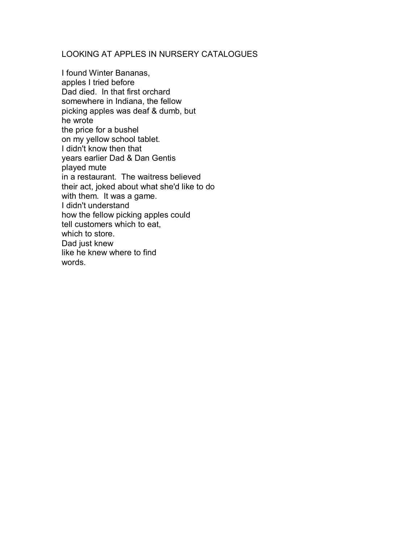## LOOKING AT APPLES IN NURSERY CATALOGUES

I found Winter Bananas, apples I tried before Dad died. In that first orchard somewhere in Indiana, the fellow picking apples was deaf & dumb, but he wrote the price for a bushel on my yellow school tablet. I didn't know then that years earlier Dad & Dan Gentis played mute in a restaurant. The waitress believed their act, joked about what she'd like to do with them. It was a game. I didn't understand how the fellow picking apples could tell customers which to eat, which to store. Dad just knew like he knew where to find words.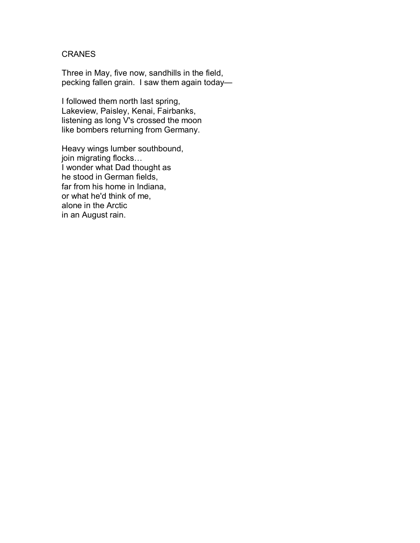## **CRANES**

Three in May, five now, sandhills in the field, pecking fallen grain. I saw them again today—

I followed them north last spring, Lakeview, Paisley, Kenai, Fairbanks, listening as long V's crossed the moon like bombers returning from Germany.

Heavy wings lumber southbound, join migrating flocks... I wonder what Dad thought as he stood in German fields, far from his home in Indiana, or what he'd think of me, alone in the Arctic in an August rain.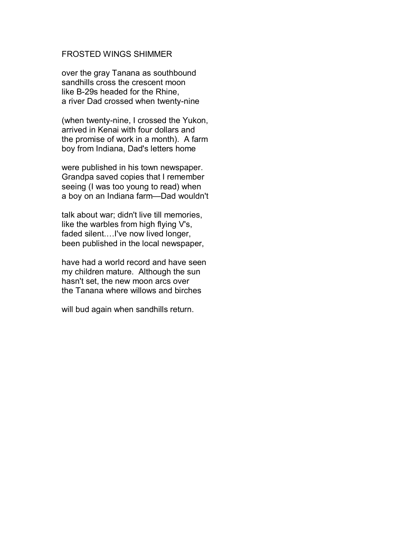## FROSTED WINGS SHIMMER

over the gray Tanana as southbound sandhills cross the crescent moon like B-29s headed for the Rhine, a river Dad crossed when twenty-nine

(when twenty-nine, I crossed the Yukon, arrived in Kenai with four dollars and the promise of work in a month). A farm boy from Indiana, Dad's letters home

were published in his town newspaper. Grandpa saved copies that I remember seeing (I was too young to read) when a boy on an Indiana farm-Dad wouldn't

talk about war; didn't live till memories, like the warbles from high flying V's, faded silent....I've now lived longer, been published in the local newspaper,

have had a world record and have seen my children mature. Although the sun hasn't set, the new moon arcs over the Tanana where willows and birches

will bud again when sandhills return.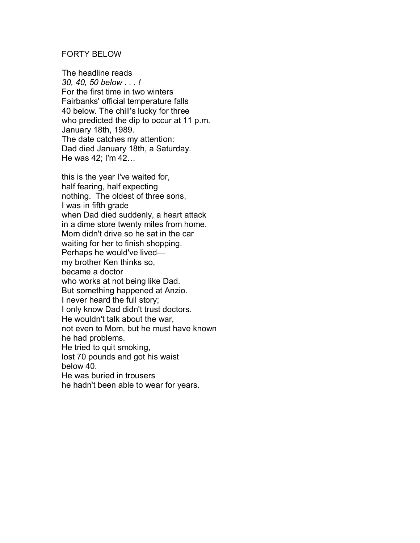#### FORTY BELOW

The headline reads *30, 40, 50 below . . . !*  For the first time in two winters Fairbanks' official temperature falls 40 below. The chill's lucky for three who predicted the dip to occur at 11 p.m. January 18th, 1989. The date catches my attention: Dad died January 18th, a Saturday. He was  $42$ ; I'm  $42...$ 

this is the year I've waited for, half fearing, half expecting nothing. The oldest of three sons, I was in fifth grade when Dad died suddenly, a heart attack in a dime store twenty miles from home. Mom didn't drive so he sat in the car waiting for her to finish shopping. Perhaps he would've livedmy brother Ken thinks so, became a doctor who works at not being like Dad. But something happened at Anzio. I never heard the full story; I only know Dad didn't trust doctors. He wouldn't talk about the war, not even to Mom, but he must have known he had problems. He tried to quit smoking, lost 70 pounds and got his waist below 40. He was buried in trousers he hadn't been able to wear for years.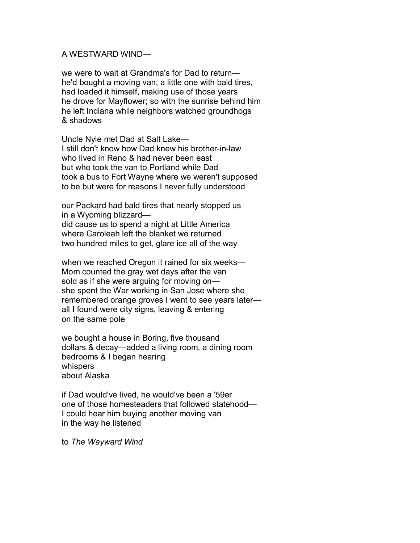#### A WESTWARD WIND-

we were to wait at Grandma's for Dad to returnhe'd bought a moving van, a little one with bald tires, had loaded it himself, making use of those years he drove for Mayflower; so with the sunrise behind him he left Indiana while neighbors watched groundhogs & shadows

Uncle Nyle met Dad at Salt Lake-I still don't know how Dad knew his brother-in-law who lived in Reno & had never been east but who took the van to Portland while Dad took a bus to Fort Wayne where we weren't supposed to be but were for reasons I never fully understood

our Packard had bald tires that nearly stopped us in a Wyoming blizzard-

did cause us to spend a night at Little America where Caroleah left the blanket we returned two hundred miles to get, glare ice all of the way

when we reached Oregon it rained for six weeks— Mom counted the gray wet days after the van sold as if she were arguing for moving on she spent the War working in San Jose where she remembered orange groves I went to see years laterall I found were city signs, leaving & entering on the same pole

we bought a house in Boring, five thousand dollars & decay—added a living room, a dining room bedrooms & I began hearing whispers about Alaska

if Dad would've lived, he would've been a '59er one of those homesteaders that followed statehood— I could hear him buying another moving van in the way he listened

to *The Wayward Wind*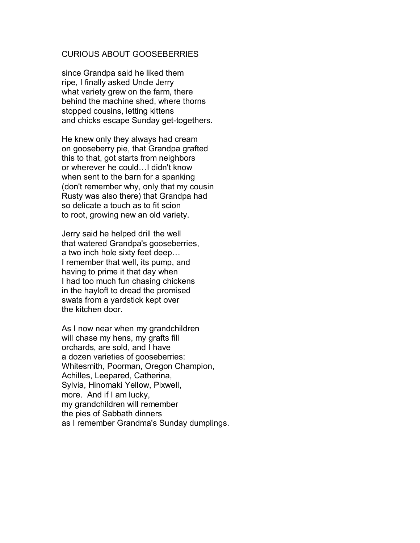#### CURIOUS ABOUT GOOSEBERRIES

since Grandpa said he liked them ripe, I finally asked Uncle Jerry what variety grew on the farm, there behind the machine shed, where thorns stopped cousins, letting kittens and chicks escape Sunday get-togethers.

He knew only they always had cream on gooseberry pie, that Grandpa grafted this to that, got starts from neighbors or wherever he could... I didn't know when sent to the barn for a spanking (don't remember why, only that my cousin Rusty was also there) that Grandpa had so delicate a touch as to fit scion to root, growing new an old variety.

Jerry said he helped drill the well that watered Grandpa's gooseberries, a two inch hole sixty feet deep... I remember that well, its pump, and having to prime it that day when I had too much fun chasing chickens in the hayloft to dread the promised swats from a yardstick kept over the kitchen door.

As I now near when my grandchildren will chase my hens, my grafts fill orchards, are sold, and I have a dozen varieties of gooseberries: Whitesmith, Poorman, Oregon Champion, Achilles, Leepared, Catherina, Sylvia, Hinomaki Yellow, Pixwell, more. And if I am lucky, my grandchildren will remember the pies of Sabbath dinners as I remember Grandma's Sunday dumplings.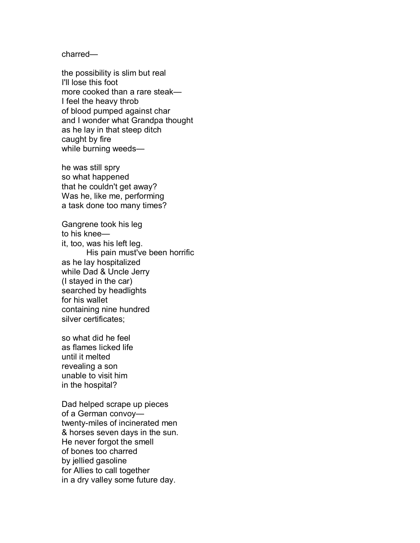charred-

the possibility is slim but real I'll lose this foot more cooked than a rare steak-I feel the heavy throb of blood pumped against char and I wonder what Grandpa thought as he lay in that steep ditch caught by fire while burning weeds-

he was still spry so what happened that he couldn't get away? Was he, like me, performing a task done too many times?

Gangrene took his leg to his knee $$ it, too, was his left leg. His pain must've been horrific as he lay hospitalized while Dad & Uncle Jerry (I stayed in the car) searched by headlights for his wallet containing nine hundred silver certificates;

so what did he feel as flames licked life until it melted revealing a son unable to visit him in the hospital?

Dad helped scrape up pieces of a German convoytwenty-miles of incinerated men & horses seven days in the sun. He never forgot the smell of bones too charred by jellied gasoline for Allies to call together in a dry valley some future day.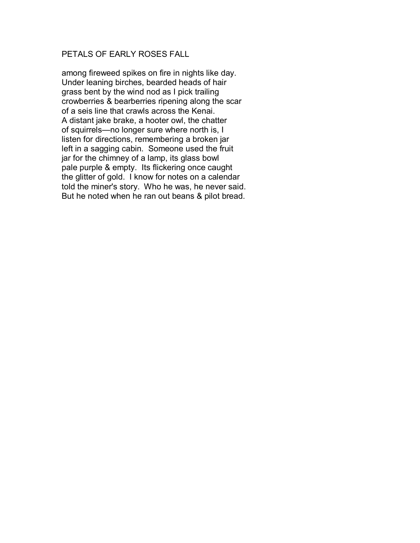## PETALS OF EARLY ROSES FALL

among fireweed spikes on fire in nights like day. Under leaning birches, bearded heads of hair grass bent by the wind nod as I pick trailing crowberries & bearberries ripening along the scar of a seis line that crawls across the Kenai. A distant jake brake, a hooter owl, the chatter of squirrels—no longer sure where north is, I listen for directions, remembering a broken jar left in a sagging cabin. Someone used the fruit jar for the chimney of a lamp, its glass bowl pale purple & empty. Its flickering once caught the glitter of gold. I know for notes on a calendar told the miner's story. Who he was, he never said. But he noted when he ran out beans & pilot bread.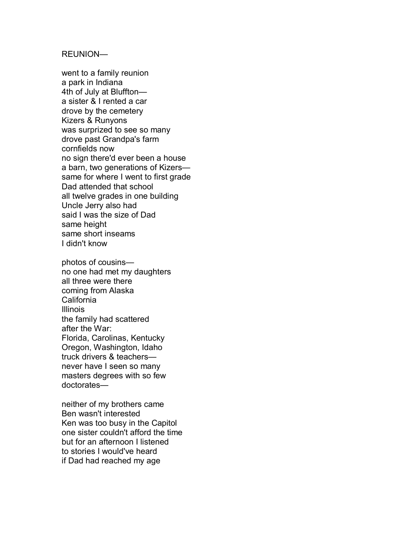#### REUNION-

went to a family reunion a park in Indiana 4th of July at Blufftona sister & I rented a car drove by the cemetery Kizers & Runyons was surprized to see so many drove past Grandpa's farm cornfields now no sign there'd ever been a house a barn, two generations of Kizers same for where I went to first grade Dad attended that school all twelve grades in one building Uncle Jerry also had said I was the size of Dad same height same short inseams I didn't know

photos of cousins no one had met my daughters all three were there coming from Alaska California Illinois the family had scattered after the War: Florida, Carolinas, Kentucky Oregon, Washington, Idaho truck drivers & teachers never have I seen so many masters degrees with so few doctorates-

neither of my brothers came Ben wasn't interested Ken was too busy in the Capitol one sister couldn't afford the time but for an afternoon I listened to stories I would've heard if Dad had reached my age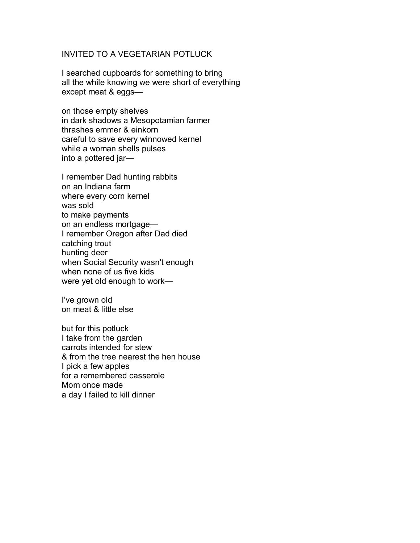## INVITED TO A VEGETARIAN POTLUCK

I searched cupboards for something to bring all the while knowing we were short of everything  $except$  meat  $&eqgs$ —

on those empty shelves in dark shadows a Mesopotamian farmer thrashes emmer & einkorn careful to save every winnowed kernel while a woman shells pulses into a pottered jar-

I remember Dad hunting rabbits on an Indiana farm where every corn kernel was sold to make payments on an endless mortgage-I remember Oregon after Dad died catching trout hunting deer when Social Security wasn't enough when none of us five kids were yet old enough to work—

I've grown old on meat & little else

but for this potluck I take from the garden carrots intended for stew & from the tree nearest the hen house I pick a few apples for a remembered casserole Mom once made a day I failed to kill dinner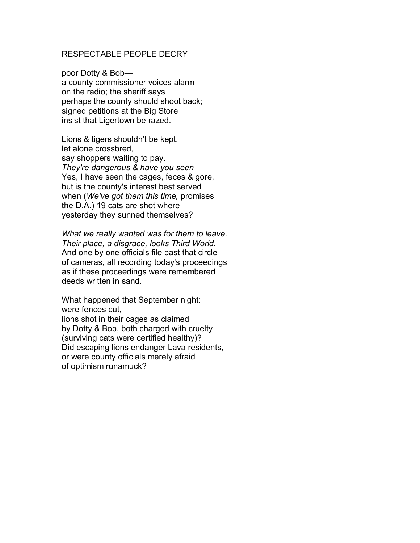#### RESPECTABLE PEOPLE DECRY

poor Dotty & Boba county commissioner voices alarm on the radio; the sheriff says perhaps the county should shoot back; signed petitions at the Big Store insist that Ligertown be razed.

Lions & tigers shouldn't be kept, let alone crossbred, say shoppers waiting to pay. *They're dangerous & have you seen—* Yes, I have seen the cages, feces & gore, but is the county's interest best served when (*We've got them this time,* promises the D.A.) 19 cats are shot where yesterday they sunned themselves?

*What we really wanted was for them to leave. Their place, a disgrace, looks Third World.*  And one by one officials file past that circle of cameras, all recording today's proceedings as if these proceedings were remembered deeds written in sand.

What happened that September night: were fences cut, lions shot in their cages as claimed by Dotty & Bob, both charged with cruelty (surviving cats were certified healthy)? Did escaping lions endanger Lava residents, or were county officials merely afraid of optimism runamuck?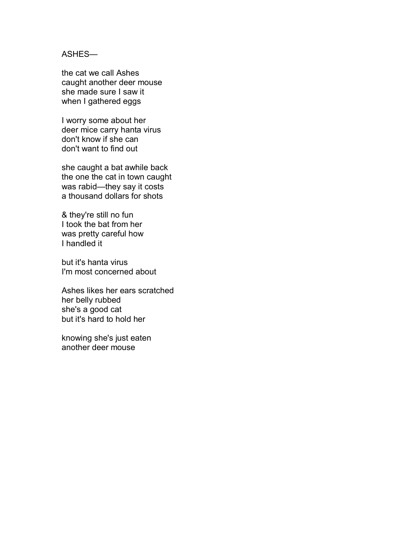## ASHES-

the cat we call Ashes caught another deer mouse she made sure I saw it when I gathered eggs

I worry some about her deer mice carry hanta virus don't know if she can don't want to find out

she caught a bat awhile back the one the cat in town caught was rabid-they say it costs a thousand dollars for shots

& they're still no fun I took the bat from her was pretty careful how I handled it

but it's hanta virus I'm most concerned about

Ashes likes her ears scratched her belly rubbed she's a good cat but it's hard to hold her

knowing she's just eaten another deer mouse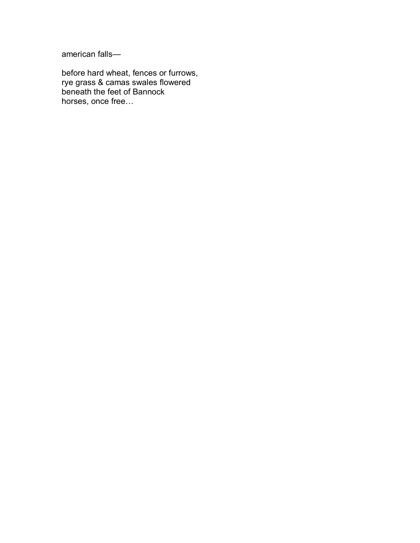american falls-

before hard wheat, fences or furrows, rye grass & camas swales flowered beneath the feet of Bannock horses, once free...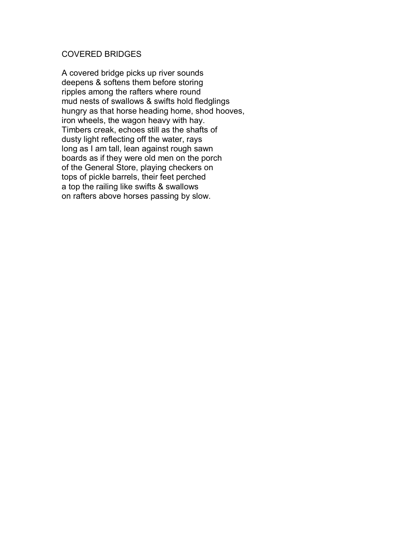## COVERED BRIDGES

A covered bridge picks up river sounds deepens & softens them before storing ripples among the rafters where round mud nests of swallows & swifts hold fledglings hungry as that horse heading home, shod hooves, iron wheels, the wagon heavy with hay. Timbers creak, echoes still as the shafts of dusty light reflecting off the water, rays long as I am tall, lean against rough sawn boards as if they were old men on the porch of the General Store, playing checkers on tops of pickle barrels, their feet perched a top the railing like swifts & swallows on rafters above horses passing by slow.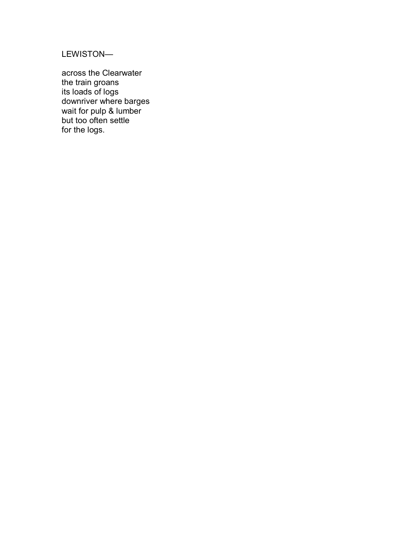LEWISTON-

across the Clearwater the train groans its loads of logs downriver where barges wait for pulp & lumber but too often settle for the logs.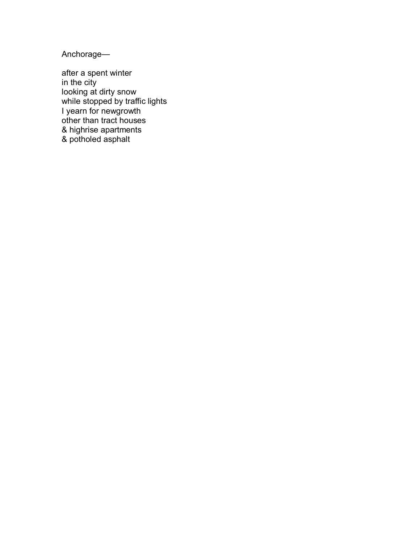Anchorage-

after a spent winter in the city looking at dirty snow while stopped by traffic lights I yearn for newgrowth other than tract houses & highrise apartments & potholed asphalt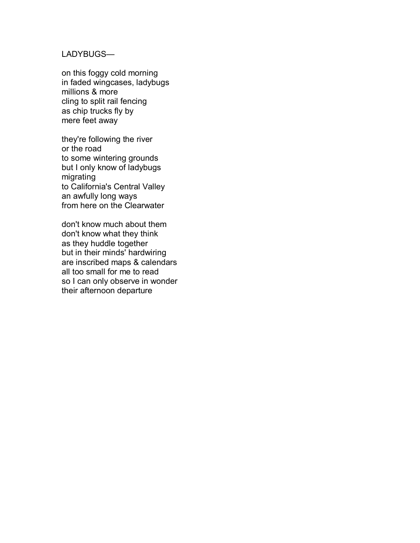## LADYBUGS-

on this foggy cold morning in faded wingcases, ladybugs millions & more cling to split rail fencing as chip trucks fly by mere feet away

they're following the river or the road to some wintering grounds but I only know of ladybugs migrating to California's Central Valley an awfully long ways from here on the Clearwater

don't know much about them don't know what they think as they huddle together but in their minds' hardwiring are inscribed maps & calendars all too small for me to read so I can only observe in wonder their afternoon departure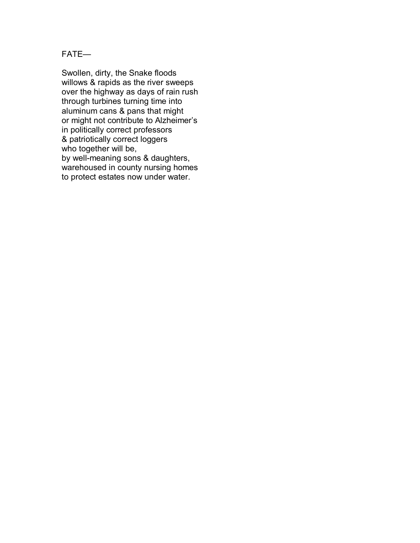$FATE$ 

Swollen, dirty, the Snake floods willows & rapids as the river sweeps over the highway as days of rain rush through turbines turning time into aluminum cans & pans that might or might not contribute to Alzheimer's in politically correct professors & patriotically correct loggers who together will be, by well-meaning sons & daughters, warehoused in county nursing homes to protect estates now under water.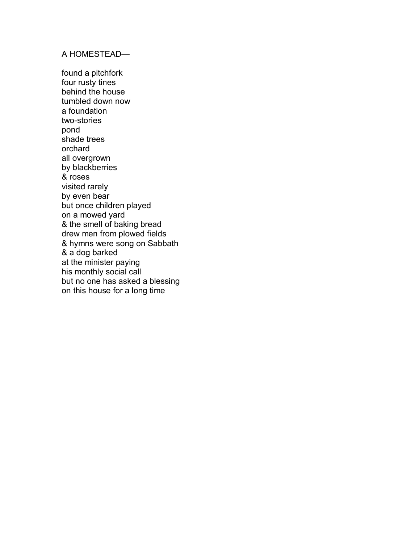## A HOMESTEAD-

found a pitchfork four rusty tines behind the house tumbled down now a foundation two-stories pond shade trees orchard all overgrown by blackberries & roses visited rarely by even bear but once children played on a mowed yard & the smell of baking bread drew men from plowed fields & hymns were song on Sabbath & a dog barked at the minister paying his monthly social call but no one has asked a blessing on this house for a long time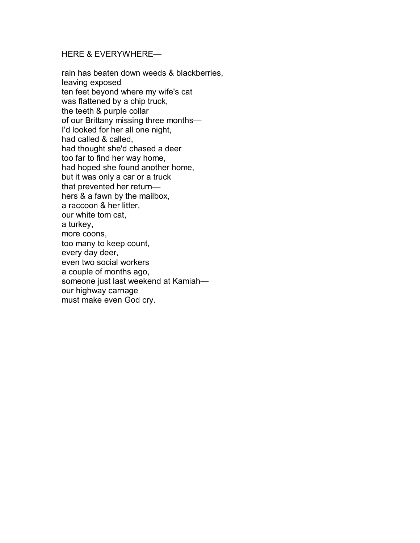## HERE & EVERYWHERE-

rain has beaten down weeds & blackberries, leaving exposed ten feet beyond where my wife's cat was flattened by a chip truck, the teeth & purple collar of our Brittany missing three months-I'd looked for her all one night, had called & called, had thought she'd chased a deer too far to find her way home, had hoped she found another home, but it was only a car or a truck that prevented her return $$ hers & a fawn by the mailbox, a raccoon & her litter, our white tom cat, a turkey, more coons, too many to keep count, every day deer, even two social workers a couple of months ago, someone just last weekend at Kamiahour highway carnage must make even God cry.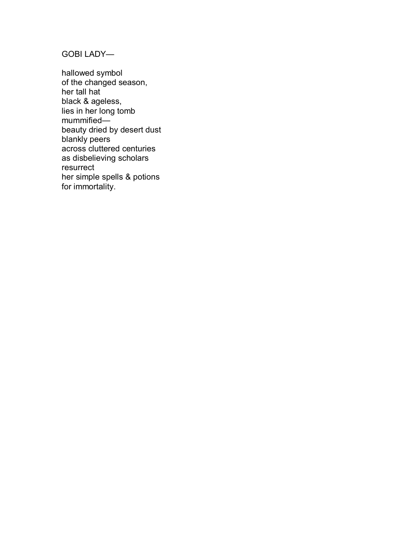**GOBI LADY—** 

hallowed symbol of the changed season, her tall hat black & ageless, lies in her long tomb mummified beauty dried by desert dust blankly peers across cluttered centuries as disbelieving scholars resurrect her simple spells & potions for immortality.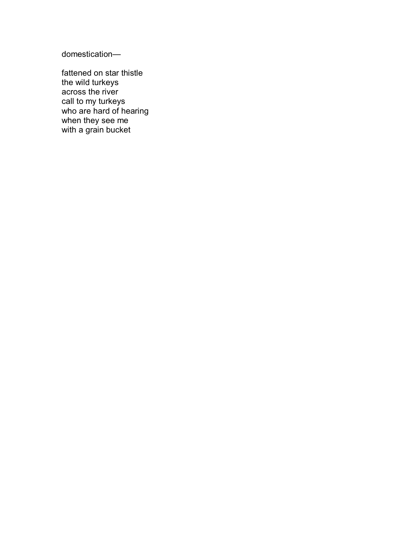domestication-

fattened on star thistle the wild turkeys across the river call to my turkeys who are hard of hearing when they see me with a grain bucket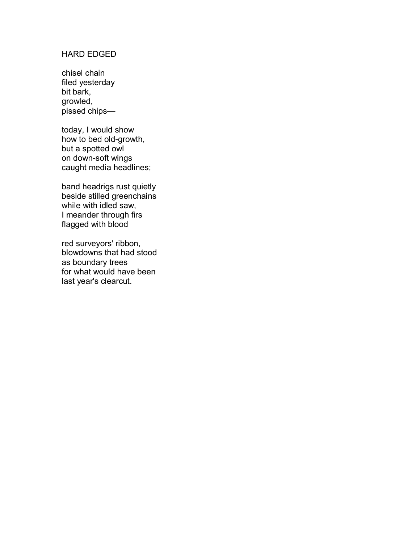## HARD EDGED

chisel chain filed yesterday bit bark, growled,  $p$ issed chips—

today, I would show how to bed old-growth, but a spotted owl on down-soft wings caught media headlines;

band headrigs rust quietly beside stilled greenchains while with idled saw, I meander through firs flagged with blood

red surveyors' ribbon, blowdowns that had stood as boundary trees for what would have been last year's clearcut.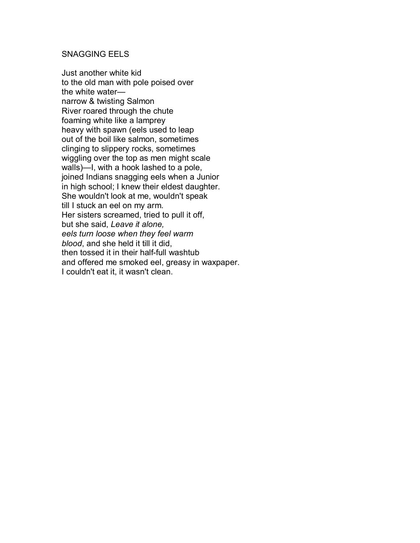## SNAGGING EELS

Just another white kid to the old man with pole poised over the white waternarrow & twisting Salmon River roared through the chute foaming white like a lamprey heavy with spawn (eels used to leap out of the boil like salmon, sometimes clinging to slippery rocks, sometimes wiggling over the top as men might scale walls)—I, with a hook lashed to a pole, joined Indians snagging eels when a Junior in high school; I knew their eldest daughter. She wouldn't look at me, wouldn't speak till I stuck an eel on my arm. Her sisters screamed, tried to pull it off, but she said, *Leave it alone, eels turn loose when they feel warm blood*, and she held it till it did, then tossed it in their half-full washtub and offered me smoked eel, greasy in waxpaper. I couldn't eat it, it wasn't clean.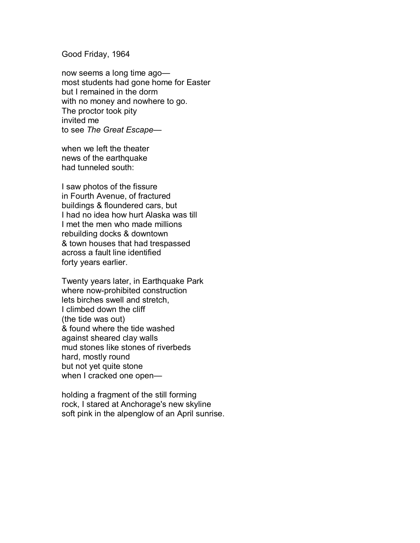#### Good Friday, 1964

now seems a long time agomost students had gone home for Easter but I remained in the dorm with no money and nowhere to go. The proctor took pity invited me to see The Great Escape-

when we left the theater news of the earthquake had tunneled south:

I saw photos of the fissure in Fourth Avenue, of fractured buildings & floundered cars, but I had no idea how hurt Alaska was till I met the men who made millions rebuilding docks & downtown & town houses that had trespassed across a fault line identified forty years earlier.

Twenty years later, in Earthquake Park where now-prohibited construction lets birches swell and stretch, I climbed down the cliff (the tide was out) & found where the tide washed against sheared clay walls mud stones like stones of riverbeds hard, mostly round but not yet quite stone when I cracked one open-

holding a fragment of the still forming rock, I stared at Anchorage's new skyline soft pink in the alpenglow of an April sunrise.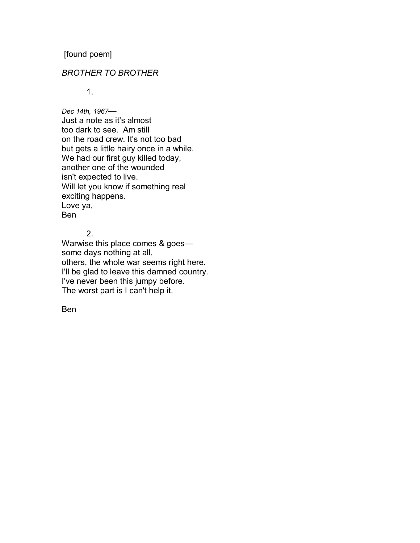[found poem]

## *BROTHER TO BROTHER*

1.

Dec 14th, 1967-Just a note as it's almost too dark to see. Am still on the road crew. It's not too bad but gets a little hairy once in a while. We had our first guy killed today, another one of the wounded isn't expected to live. Will let you know if something real exciting happens. Love ya, Ben

## 2.

Warwise this place comes  $& goes$  some days nothing at all, others, the whole war seems right here. I'll be glad to leave this damned country. I've never been this jumpy before. The worst part is I can't help it.

Ben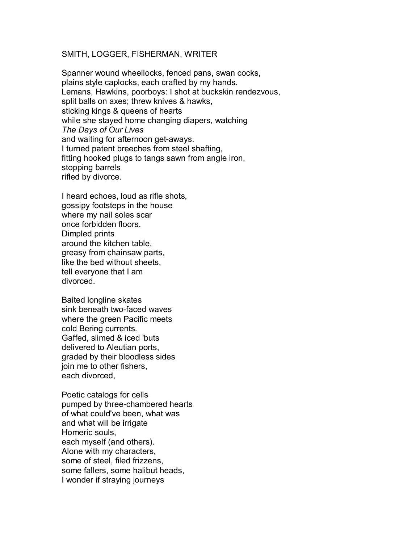#### SMITH, LOGGER, FISHERMAN, WRITER

Spanner wound wheellocks, fenced pans, swan cocks, plains style caplocks, each crafted by my hands. Lemans, Hawkins, poorboys: I shot at buckskin rendezvous, split balls on axes; threw knives & hawks, sticking kings & queens of hearts while she stayed home changing diapers, watching *The Days of Our Lives*  and waiting for afternoon get-aways. I turned patent breeches from steel shafting, fitting hooked plugs to tangs sawn from angle iron, stopping barrels rifled by divorce.

I heard echoes, loud as rifle shots, gossipy footsteps in the house where my nail soles scar once forbidden floors. Dimpled prints around the kitchen table, greasy from chainsaw parts, like the bed without sheets, tell everyone that I am divorced.

Baited longline skates sink beneath two-faced waves where the green Pacific meets cold Bering currents. Gaffed, slimed & iced 'buts delivered to Aleutian ports, graded by their bloodless sides join me to other fishers, each divorced,

Poetic catalogs for cells pumped by three-chambered hearts of what could've been, what was and what will be irrigate Homeric souls, each myself (and others). Alone with my characters, some of steel, filed frizzens, some fallers, some halibut heads, I wonder if straying journeys